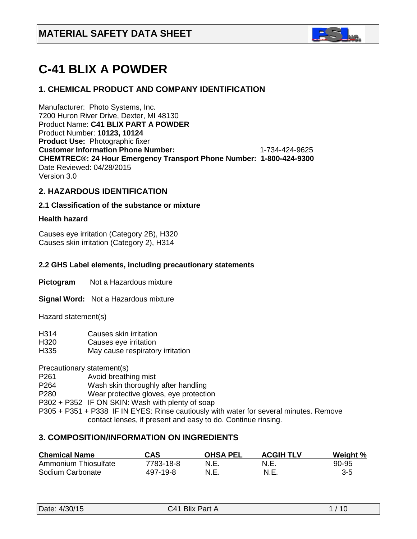

# **C-41 BLIX A POWDER**

## **1. CHEMICAL PRODUCT AND COMPANY IDENTIFICATION**

Manufacturer: Photo Systems, Inc. 7200 Huron River Drive, Dexter, MI 48130 Product Name: **C41 BLIX PART A POWDER**  Product Number: **10123, 10124 Product Use:** Photographic fixer **Customer Information Phone Number:** 1-734-424-9625 **CHEMTREC®: 24 Hour Emergency Transport Phone Number: 1-800-424-9300**  Date Reviewed: 04/28/2015 Version 3.0

## **2. HAZARDOUS IDENTIFICATION**

#### **2.1 Classification of the substance or mixture**

#### **Health hazard**

Causes eye irritation (Category 2B), H320 Causes skin irritation (Category 2), H314

#### **2.2 GHS Label elements, including precautionary statements**

**Pictogram** Not a Hazardous mixture

**Signal Word:** Not a Hazardous mixture

Hazard statement(s)

- H314 Causes skin irritation
- H320 Causes eye irritation
- H335 May cause respiratory irritation

Precautionary statement(s)

- P261 Avoid breathing mist
- P264 Wash skin thoroughly after handling
- P280 Wear protective gloves, eye protection

P302 + P352 IF ON SKIN: Wash with plenty of soap

P305 + P351 + P338 IF IN EYES: Rinse cautiously with water for several minutes. Remove contact lenses, if present and easy to do. Continue rinsing.

## **3. COMPOSITION/INFORMATION ON INGREDIENTS**

| <b>Chemical Name</b> | CAS       | <b>OHSA PEL</b> | <b>ACGIH TLV</b> | Weight % |
|----------------------|-----------|-----------------|------------------|----------|
| Ammonium Thiosulfate | 7783-18-8 | N.E.            | N.E              | 90-95    |
| Sodium Carbonate     | 497-19-8  | N.E.            | N.E.             | $3-5$    |

|  | Date: 4/30/15 |
|--|---------------|
|--|---------------|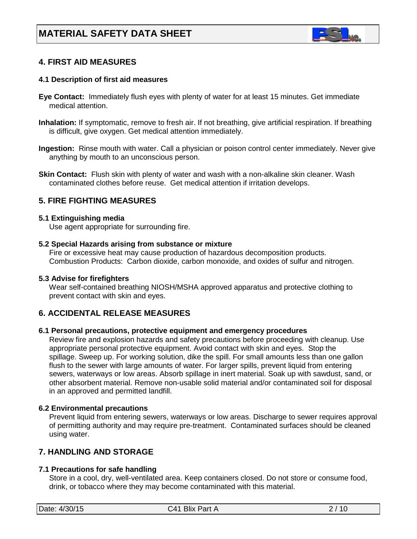

## **4. FIRST AID MEASURES**

#### **4.1 Description of first aid measures**

- **Eye Contact:** Immediately flush eyes with plenty of water for at least 15 minutes. Get immediate medical attention.
- **Inhalation:** If symptomatic, remove to fresh air. If not breathing, give artificial respiration. If breathing is difficult, give oxygen. Get medical attention immediately.
- **Ingestion:** Rinse mouth with water. Call a physician or poison control center immediately. Never give anything by mouth to an unconscious person.
- **Skin Contact:** Flush skin with plenty of water and wash with a non-alkaline skin cleaner. Wash contaminated clothes before reuse. Get medical attention if irritation develops.

## **5. FIRE FIGHTING MEASURES**

#### **5.1 Extinguishing media**

Use agent appropriate for surrounding fire.

#### **5.2 Special Hazards arising from substance or mixture**

 Fire or excessive heat may cause production of hazardous decomposition products. Combustion Products: Carbon dioxide, carbon monoxide, and oxides of sulfur and nitrogen.

#### **5.3 Advise for firefighters**

Wear self-contained breathing NIOSH/MSHA approved apparatus and protective clothing to prevent contact with skin and eyes.

## **6. ACCIDENTAL RELEASE MEASURES**

#### **6.1 Personal precautions, protective equipment and emergency procedures**

Review fire and explosion hazards and safety precautions before proceeding with cleanup. Use appropriate personal protective equipment. Avoid contact with skin and eyes. Stop the spillage. Sweep up. For working solution, dike the spill. For small amounts less than one gallon flush to the sewer with large amounts of water. For larger spills, prevent liquid from entering sewers, waterways or low areas. Absorb spillage in inert material. Soak up with sawdust, sand, or other absorbent material. Remove non-usable solid material and/or contaminated soil for disposal in an approved and permitted landfill.

#### **6.2 Environmental precautions**

 Prevent liquid from entering sewers, waterways or low areas. Discharge to sewer requires approval of permitting authority and may require pre-treatment. Contaminated surfaces should be cleaned using water.

## **7. HANDLING AND STORAGE**

#### **7.1 Precautions for safe handling**

 Store in a cool, dry, well-ventilated area. Keep containers closed. Do not store or consume food, drink, or tobacco where they may become contaminated with this material.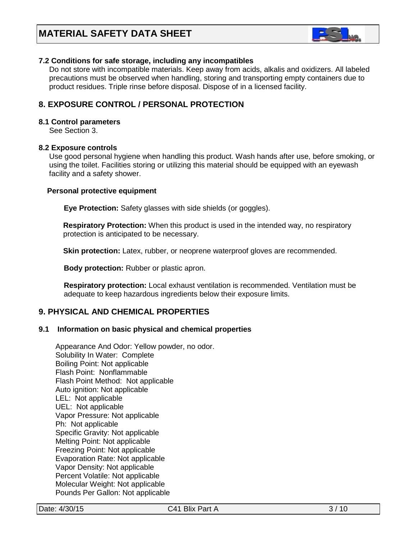

#### **7.2 Conditions for safe storage, including any incompatibles**

Do not store with incompatible materials. Keep away from acids, alkalis and oxidizers. All labeled precautions must be observed when handling, storing and transporting empty containers due to product residues. Triple rinse before disposal. Dispose of in a licensed facility.

## **8. EXPOSURE CONTROL / PERSONAL PROTECTION**

#### **8.1 Control parameters**

See Section 3.

#### **8.2 Exposure controls**

Use good personal hygiene when handling this product. Wash hands after use, before smoking, or using the toilet. Facilities storing or utilizing this material should be equipped with an eyewash facility and a safety shower.

#### **Personal protective equipment**

**Eye Protection:** Safety glasses with side shields (or goggles).

**Respiratory Protection:** When this product is used in the intended way, no respiratory protection is anticipated to be necessary.

**Skin protection:** Latex, rubber, or neoprene waterproof gloves are recommended.

 **Body protection:** Rubber or plastic apron.

 **Respiratory protection:** Local exhaust ventilation is recommended. Ventilation must be adequate to keep hazardous ingredients below their exposure limits.

## **9. PHYSICAL AND CHEMICAL PROPERTIES**

#### **9.1 Information on basic physical and chemical properties**

Appearance And Odor: Yellow powder, no odor. Solubility In Water: Complete Boiling Point: Not applicable Flash Point: Nonflammable Flash Point Method: Not applicable Auto ignition: Not applicable LEL: Not applicable UEL: Not applicable Vapor Pressure: Not applicable Ph: Not applicable Specific Gravity: Not applicable Melting Point: Not applicable Freezing Point: Not applicable Evaporation Rate: Not applicable Vapor Density: Not applicable Percent Volatile: Not applicable Molecular Weight: Not applicable Pounds Per Gallon: Not applicable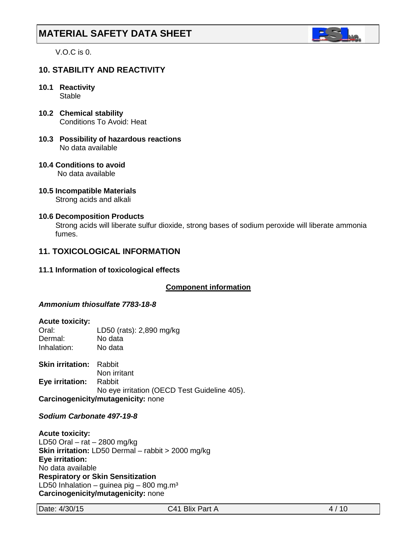

V.O.C is 0.

## **10. STABILITY AND REACTIVITY**

## **10.1 Reactivity**

**Stable** 

- **10.2 Chemical stability** Conditions To Avoid: Heat
- **10.3 Possibility of hazardous reactions** No data available
- **10.4 Conditions to avoid** No data available
- **10.5 Incompatible Materials** Strong acids and alkali

## **10.6 Decomposition Products**

Strong acids will liberate sulfur dioxide, strong bases of sodium peroxide will liberate ammonia fumes.

## **11. TOXICOLOGICAL INFORMATION**

**11.1 Information of toxicological effects**

## **Component information**

## *Ammonium thiosulfate 7783-18-8*

#### **Acute toxicity:**

| Oral:       | LD50 (rats): 2,890 mg/kg |
|-------------|--------------------------|
| Dermal:     | No data                  |
| Inhalation: | No data                  |

**Skin irritation:** Rabbit Non irritant **Eye irritation:** Rabbit No eye irritation (OECD Test Guideline 405). **Carcinogenicity/mutagenicity:** none

#### *Sodium Carbonate 497-19-8*

**Acute toxicity:** LD50 Oral – rat – 2800 mg/kg **Skin irritation:** LD50 Dermal – rabbit > 2000 mg/kg **Eye irritation:**  No data available **Respiratory or Skin Sensitization** LD50 Inhalation – guinea pig – 800 mg.m<sup>3</sup> **Carcinogenicity/mutagenicity:** none

Date: 4/30/15 C41 Blix Part A 4/10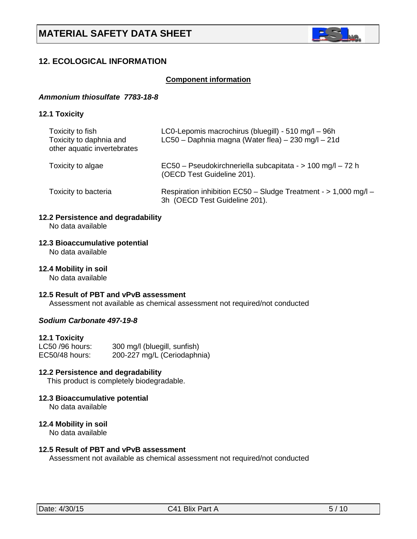

## **12. ECOLOGICAL INFORMATION**

#### **Component information**

#### *Ammonium thiosulfate 7783-18-8*

#### **12.1 Toxicity**

| Toxicity to fish<br>Toxicity to daphnia and<br>other aquatic invertebrates | LC0-Lepomis macrochirus (bluegill) - 510 mg/l - 96h<br>LC50 - Daphnia magna (Water flea) - 230 mg/l - 21d |
|----------------------------------------------------------------------------|-----------------------------------------------------------------------------------------------------------|
| Toxicity to algae                                                          | EC50 - Pseudokirchneriella subcapitata - > 100 mg/l - 72 h<br>(OECD Test Guideline 201).                  |
| Toxicity to bacteria                                                       | Respiration inhibition EC50 - Sludge Treatment - > 1,000 mg/l -<br>3h (OECD Test Guideline 201).          |

## **12.2 Persistence and degradability**

No data available

## **12.3 Bioaccumulative potential**

No data available

#### **12.4 Mobility in soil**

No data available

#### **12.5 Result of PBT and vPvB assessment**

Assessment not available as chemical assessment not required/not conducted

## *Sodium Carbonate 497-19-8*

#### **12.1 Toxicity**

| LC50 /96 hours: | 300 mg/l (bluegill, sunfish) |
|-----------------|------------------------------|
| EC50/48 hours:  | 200-227 mg/L (Ceriodaphnia)  |

## **12.2 Persistence and degradability**

This product is completely biodegradable.

## **12.3 Bioaccumulative potential**

No data available

#### **12.4 Mobility in soil**

No data available

## **12.5 Result of PBT and vPvB assessment**

Assessment not available as chemical assessment not required/not conducted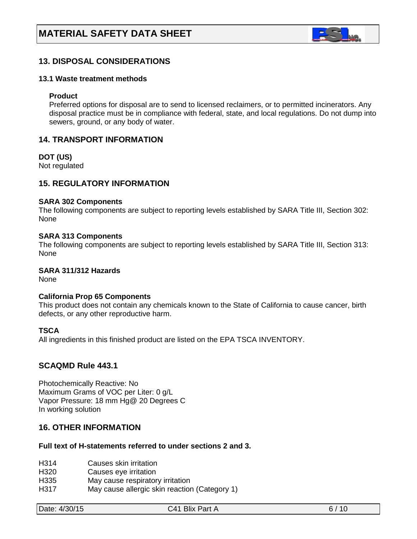

## **13. DISPOSAL CONSIDERATIONS**

#### **13.1 Waste treatment methods**

#### **Product**

Preferred options for disposal are to send to licensed reclaimers, or to permitted incinerators. Any disposal practice must be in compliance with federal, state, and local regulations. Do not dump into sewers, ground, or any body of water.

## **14. TRANSPORT INFORMATION**

**DOT (US)**

Not regulated

## **15. REGULATORY INFORMATION**

#### **SARA 302 Components**

The following components are subject to reporting levels established by SARA Title III, Section 302: None

#### **SARA 313 Components**

The following components are subject to reporting levels established by SARA Title III, Section 313: None

## **SARA 311/312 Hazards**

None

#### **California Prop 65 Components**

This product does not contain any chemicals known to the State of California to cause cancer, birth defects, or any other reproductive harm.

#### **TSCA**

All ingredients in this finished product are listed on the EPA TSCA INVENTORY.

## **SCAQMD Rule 443.1**

Photochemically Reactive: No Maximum Grams of VOC per Liter: 0 g/L Vapor Pressure: 18 mm Hg@ 20 Degrees C In working solution

## **16. OTHER INFORMATION**

### **Full text of H-statements referred to under sections 2 and 3.**

- H314 Causes skin irritation<br>H320 Causes eve irritation
- Causes eye irritation
- H335 May cause respiratory irritation
- H317 May cause allergic skin reaction (Category 1)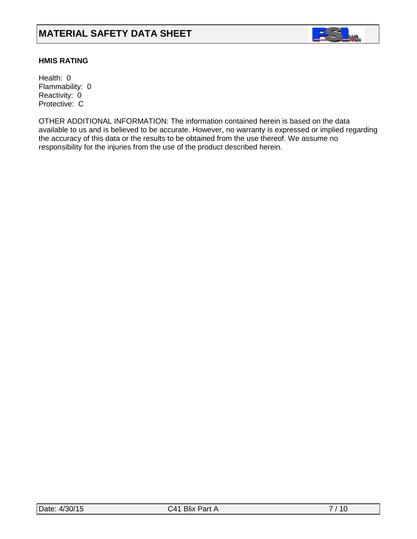

## **HMIS RATING**

Health: 0 Flammability: 0 Reactivity: 0 Protective: C

OTHER ADDITIONAL INFORMATION: The information contained herein is based on the data available to us and is believed to be accurate. However, no warranty is expressed or implied regarding the accuracy of this data or the results to be obtained from the use thereof. We assume no responsibility for the injuries from the use of the product described herein.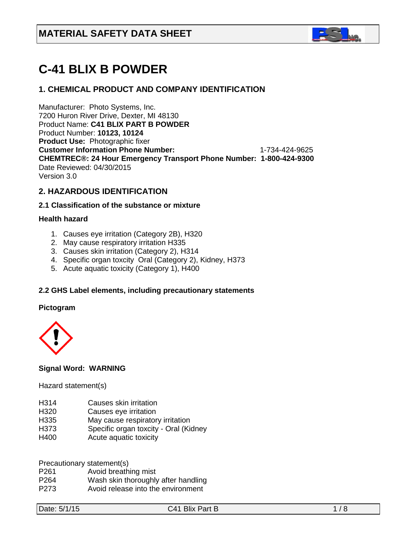

# **C-41 BLIX B POWDER**

## **1. CHEMICAL PRODUCT AND COMPANY IDENTIFICATION**

Manufacturer: Photo Systems, Inc. 7200 Huron River Drive, Dexter, MI 48130 Product Name: **C41 BLIX PART B POWDER**  Product Number: **10123, 10124 Product Use:** Photographic fixer **Customer Information Phone Number:** 1-734-424-9625 **CHEMTREC®: 24 Hour Emergency Transport Phone Number: 1-800-424-9300**  Date Reviewed: 04/30/2015 Version 3.0

## **2. HAZARDOUS IDENTIFICATION**

#### **2.1 Classification of the substance or mixture**

## **Health hazard**

- 1. Causes eye irritation (Category 2B), H320
- 2. May cause respiratory irritation H335
- 3. Causes skin irritation (Category 2), H314
- 4. Specific organ toxcity Oral (Category 2), Kidney, H373
- 5. Acute aquatic toxicity (Category 1), H400

## **2.2 GHS Label elements, including precautionary statements**

#### **Pictogram**



## **Signal Word: WARNING**

#### Hazard statement(s)

- H314 Causes skin irritation
- H320 Causes eye irritation
- H335 May cause respiratory irritation
- H373 Specific organ toxcity Oral (Kidney
- H400 Acute aquatic toxicity

Precautionary statement(s)

- P261 Avoid breathing mist
- P264 Wash skin thoroughly after handling
- P273 Avoid release into the environment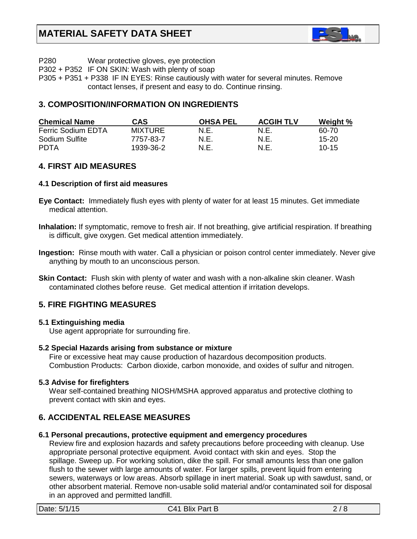

P280 Wear protective gloves, eye protection

P302 + P352 IF ON SKIN: Wash with plenty of soap

P305 + P351 + P338 IF IN EYES: Rinse cautiously with water for several minutes. Remove contact lenses, if present and easy to do. Continue rinsing.

## **3. COMPOSITION/INFORMATION ON INGREDIENTS**

| <b>Chemical Name</b>      | CAS            | <b>OHSA PEL</b> | <b>ACGIH TLV</b> | Weight %  |
|---------------------------|----------------|-----------------|------------------|-----------|
| <b>Ferric Sodium EDTA</b> | <b>MIXTURE</b> | N.E.            | N.E.             | 60-70     |
| Sodium Sulfite            | 7757-83-7      | N.E.            | N.E.             | $15 - 20$ |
| <b>PDTA</b>               | 1939-36-2      | N.E.            | N.E.             | $10 - 15$ |

## **4. FIRST AID MEASURES**

#### **4.1 Description of first aid measures**

- **Eye Contact:** Immediately flush eyes with plenty of water for at least 15 minutes. Get immediate medical attention.
- **Inhalation:** If symptomatic, remove to fresh air. If not breathing, give artificial respiration. If breathing is difficult, give oxygen. Get medical attention immediately.
- **Ingestion:** Rinse mouth with water. Call a physician or poison control center immediately. Never give anything by mouth to an unconscious person.
- **Skin Contact:** Flush skin with plenty of water and wash with a non-alkaline skin cleaner. Wash contaminated clothes before reuse. Get medical attention if irritation develops.

## **5. FIRE FIGHTING MEASURES**

## **5.1 Extinguishing media**

Use agent appropriate for surrounding fire.

## **5.2 Special Hazards arising from substance or mixture**

 Fire or excessive heat may cause production of hazardous decomposition products. Combustion Products: Carbon dioxide, carbon monoxide, and oxides of sulfur and nitrogen.

#### **5.3 Advise for firefighters**

Wear self-contained breathing NIOSH/MSHA approved apparatus and protective clothing to prevent contact with skin and eyes.

## **6. ACCIDENTAL RELEASE MEASURES**

#### **6.1 Personal precautions, protective equipment and emergency procedures**

Review fire and explosion hazards and safety precautions before proceeding with cleanup. Use appropriate personal protective equipment. Avoid contact with skin and eyes. Stop the spillage. Sweep up. For working solution, dike the spill. For small amounts less than one gallon flush to the sewer with large amounts of water. For larger spills, prevent liquid from entering sewers, waterways or low areas. Absorb spillage in inert material. Soak up with sawdust, sand, or other absorbent material. Remove non-usable solid material and/or contaminated soil for disposal in an approved and permitted landfill.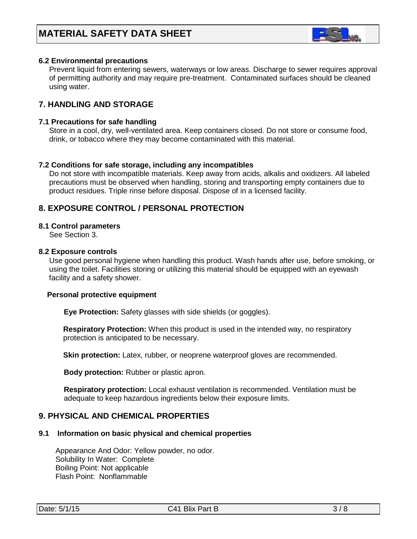

#### **6.2 Environmental precautions**

 Prevent liquid from entering sewers, waterways or low areas. Discharge to sewer requires approval of permitting authority and may require pre-treatment. Contaminated surfaces should be cleaned using water.

## **7. HANDLING AND STORAGE**

#### **7.1 Precautions for safe handling**

 Store in a cool, dry, well-ventilated area. Keep containers closed. Do not store or consume food, drink, or tobacco where they may become contaminated with this material.

#### **7.2 Conditions for safe storage, including any incompatibles**

Do not store with incompatible materials. Keep away from acids, alkalis and oxidizers. All labeled precautions must be observed when handling, storing and transporting empty containers due to product residues. Triple rinse before disposal. Dispose of in a licensed facility.

## **8. EXPOSURE CONTROL / PERSONAL PROTECTION**

#### **8.1 Control parameters**

See Section 3.

#### **8.2 Exposure controls**

Use good personal hygiene when handling this product. Wash hands after use, before smoking, or using the toilet. Facilities storing or utilizing this material should be equipped with an eyewash facility and a safety shower.

#### **Personal protective equipment**

**Eye Protection:** Safety glasses with side shields (or goggles).

**Respiratory Protection:** When this product is used in the intended way, no respiratory protection is anticipated to be necessary.

**Skin protection:** Latex, rubber, or neoprene waterproof gloves are recommended.

 **Body protection:** Rubber or plastic apron.

 **Respiratory protection:** Local exhaust ventilation is recommended. Ventilation must be adequate to keep hazardous ingredients below their exposure limits.

## **9. PHYSICAL AND CHEMICAL PROPERTIES**

#### **9.1 Information on basic physical and chemical properties**

Appearance And Odor: Yellow powder, no odor. Solubility In Water: Complete Boiling Point: Not applicable Flash Point: Nonflammable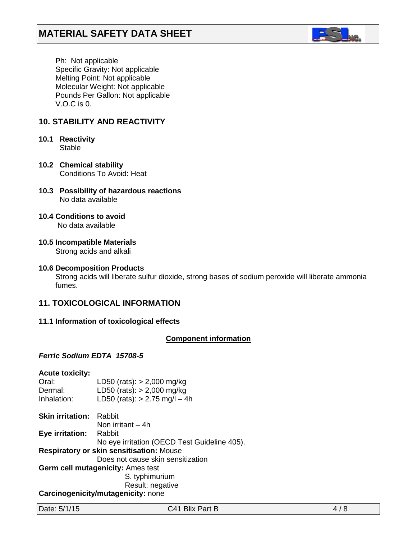

 Ph: Not applicable Specific Gravity: Not applicable Melting Point: Not applicable Molecular Weight: Not applicable Pounds Per Gallon: Not applicable V.O.C is 0.

## **10. STABILITY AND REACTIVITY**

- **10.1 Reactivity Stable**
- **10.2 Chemical stability** Conditions To Avoid: Heat
- **10.3 Possibility of hazardous reactions** No data available
- **10.4 Conditions to avoid**

No data available

**10.5 Incompatible Materials**

Strong acids and alkali

**10.6 Decomposition Products**

Strong acids will liberate sulfur dioxide, strong bases of sodium peroxide will liberate ammonia fumes.

## **11. TOXICOLOGICAL INFORMATION**

## **11.1 Information of toxicological effects**

## *<sup>U</sup>***Component information**

## *Ferric Sodium EDTA 15708-5*

| <b>Acute toxicity:</b> |                                              |
|------------------------|----------------------------------------------|
| Oral:                  | LD50 (rats): $> 2,000$ mg/kg                 |
| Dermal:                | LD50 (rats): $> 2,000$ mg/kg                 |
| Inhalation:            | LD50 (rats): $> 2.75$ mg/l - 4h              |
| Skin irritation:       | Rabbit                                       |
|                        | Non irritant – 4h                            |
| Eye irritation: Rabbit |                                              |
|                        | No eye irritation (OECD Test Guideline 405). |
|                        | Respiratory or skin sensitisation: Mouse     |
|                        | Does not cause skin sensitization            |
|                        | Germ cell mutagenicity: Ames test            |
|                        | S. typhimurium                               |
|                        | Result: negative                             |
|                        | Carcinogenicity/mutagenicity: none           |

**Carcinogenicity/mutagenicity:** none

Date: 5/1/15 2/17 C41 Blix Part B 4/8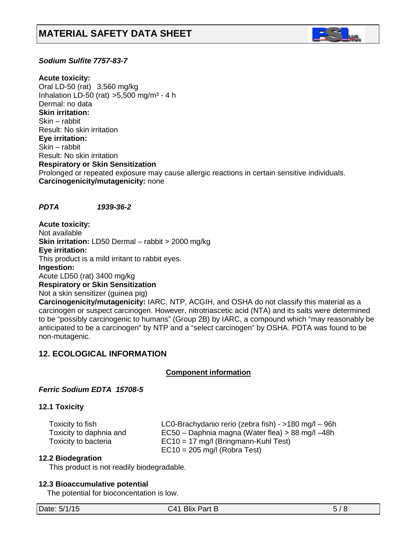

## *Sodium Sulfite 7757-83-7*

**Acute toxicity:** Oral LD-50 (rat) 3,560 mg/kg Inhalation LD-50 (rat)  $>5,500$  mg/m<sup>3</sup> - 4 h Dermal: no data **Skin irritation:**  Skin – rabbit Result: No skin irritation **Eye irritation:**  Skin – rabbit Result: No skin irritation **Respiratory or Skin Sensitization** Prolonged or repeated exposure may cause allergic reactions in certain sensitive individuals. **Carcinogenicity/mutagenicity:** none

#### *PDTA 1939-36-2*

**Acute toxicity:** Not available **Skin irritation:** LD50 Dermal – rabbit > 2000 mg/kg **Eye irritation:**  This product is a mild irritant to rabbit eyes. **Ingestion:** Acute LD50 (rat) 3400 mg/kg **Respiratory or Skin Sensitization** Not a skin sensitizer (guinea pig) **Carcinogenicity/mutagenicity:** IARC, NTP, ACGIH, and OSHA do not classify this material as a carcinogen or suspect carcinogen. However, nitrotriascetic acid (NTA) and its salts were determined to be "possibly carcinogenic to humans" (Group 2B) by IARC, a compound which "may reasonably be anticipated to be a carcinogen" by NTP and a "select carcinogen" by OSHA. PDTA was found to be

## **12. ECOLOGICAL INFORMATION**

## *<sup>U</sup>***Component information**

## *Ferric Sodium EDTA 15708-5*

#### **12.1 Toxicity**

non-mutagenic.

| Toxicity to fish        | LC0-Brachydanio rerio (zebra fish) - >180 mg/l - 96h |
|-------------------------|------------------------------------------------------|
| Toxicity to daphnia and | EC50 – Daphnia magna (Water flea) > 88 mg/l –48h     |
| Toxicity to bacteria    | $EC10 = 17$ mg/l (Bringmann-Kuhl Test)               |
|                         | $EC10 = 205$ mg/l (Robra Test)                       |

#### **12.2 Biodegration**

This product is not readily biodegradable.

#### **12.3 Bioaccumulative potential**

The potential for bioconcentation is low.

Date:  $5/1/15$  C41 Blix Part B 5/8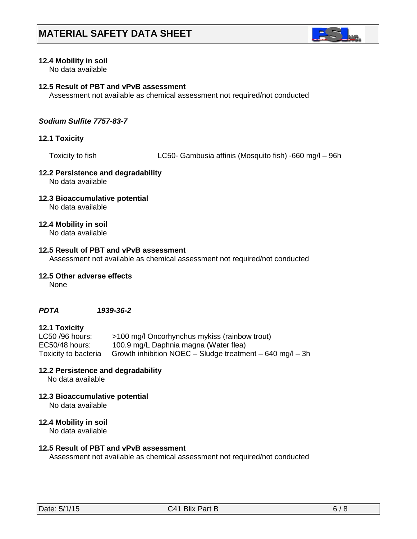

## **12.4 Mobility in soil**

No data available

## **12.5 Result of PBT and vPvB assessment**

Assessment not available as chemical assessment not required/not conducted

#### *Sodium Sulfite 7757-83-7*

### **12.1 Toxicity**

Toxicity to fish LC50- Gambusia affinis (Mosquito fish) -660 mg/l – 96h

## **12.2 Persistence and degradability**

No data available

#### **12.3 Bioaccumulative potential** No data available

#### **12.4 Mobility in soil**

No data available

#### **12.5 Result of PBT and vPvB assessment**

Assessment not available as chemical assessment not required/not conducted

#### **12.5 Other adverse effects**

None

#### *PDTA 1939-36-2*

#### **12.1 Toxicity**

| LC50 /96 hours:      | >100 mg/l Oncorhynchus mykiss (rainbow trout)             |
|----------------------|-----------------------------------------------------------|
| EC50/48 hours:       | 100.9 mg/L Daphnia magna (Water flea)                     |
| Toxicity to bacteria | Growth inhibition NOEC – Sludge treatment – 640 mg/l – 3h |

#### **12.2 Persistence and degradability**

No data available

**12.3 Bioaccumulative potential**

No data available

#### **12.4 Mobility in soil**

No data available

#### **12.5 Result of PBT and vPvB assessment**

Assessment not available as chemical assessment not required/not conducted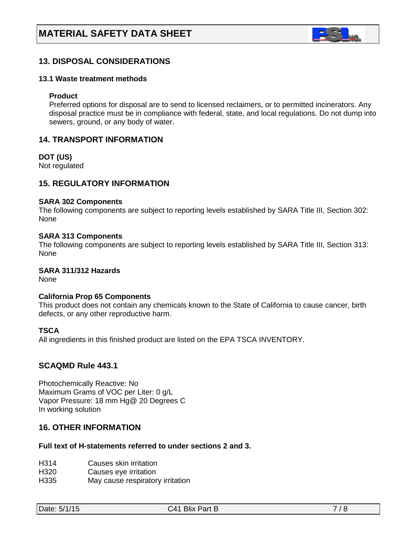

## **13. DISPOSAL CONSIDERATIONS**

#### **13.1 Waste treatment methods**

#### **Product**

Preferred options for disposal are to send to licensed reclaimers, or to permitted incinerators. Any disposal practice must be in compliance with federal, state, and local regulations. Do not dump into sewers, ground, or any body of water.

#### **14. TRANSPORT INFORMATION**

**DOT (US)**

Not regulated

## **15. REGULATORY INFORMATION**

#### **SARA 302 Components**

The following components are subject to reporting levels established by SARA Title III, Section 302: None

#### **SARA 313 Components**

The following components are subject to reporting levels established by SARA Title III, Section 313: None

## **SARA 311/312 Hazards**

None

#### **California Prop 65 Components**

This product does not contain any chemicals known to the State of California to cause cancer, birth defects, or any other reproductive harm.

#### **TSCA**

All ingredients in this finished product are listed on the EPA TSCA INVENTORY.

#### **SCAQMD Rule 443.1**

Photochemically Reactive: No Maximum Grams of VOC per Liter: 0 g/L Vapor Pressure: 18 mm Hg@ 20 Degrees C In working solution

## **16. OTHER INFORMATION**

#### **Full text of H-statements referred to under sections 2 and 3.**

- H314 Causes skin irritation<br>H320 Causes eve irritation
- Causes eye irritation
- H335 May cause respiratory irritation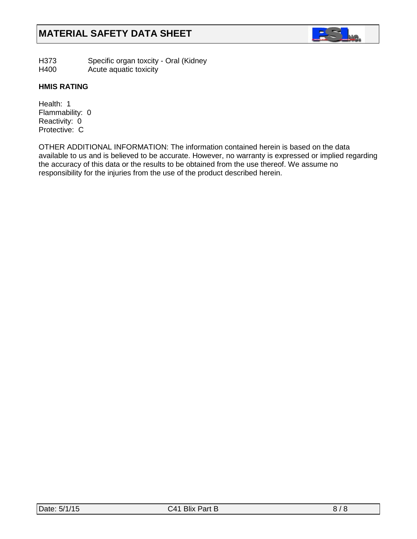

- H373 Specific organ toxcity Oral (Kidney
- H400 Acute aquatic toxicity

## **HMIS RATING**

Health: 1 Flammability: 0 Reactivity: 0 Protective: C

OTHER ADDITIONAL INFORMATION: The information contained herein is based on the data available to us and is believed to be accurate. However, no warranty is expressed or implied regarding the accuracy of this data or the results to be obtained from the use thereof. We assume no responsibility for the injuries from the use of the product described herein.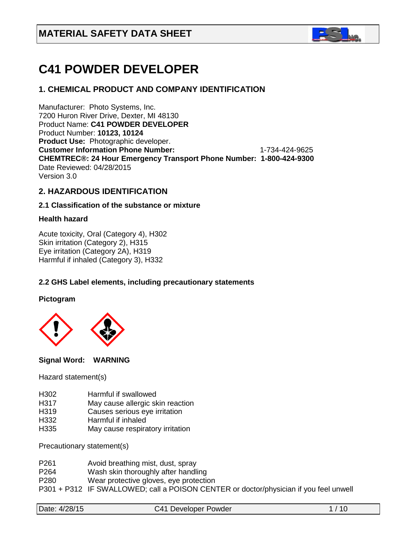

# **C41 POWDER DEVELOPER**

## **1. CHEMICAL PRODUCT AND COMPANY IDENTIFICATION**

Manufacturer: Photo Systems, Inc. 7200 Huron River Drive, Dexter, MI 48130 Product Name: **C41 POWDER DEVELOPER** Product Number: **10123, 10124 Product Use:** Photographic developer. **Customer Information Phone Number:** 1-734-424-9625 **CHEMTREC®: 24 Hour Emergency Transport Phone Number: 1-800-424-9300**  Date Reviewed: 04/28/2015 Version 3.0

## **2. HAZARDOUS IDENTIFICATION**

#### **2.1 Classification of the substance or mixture**

#### **Health hazard**

Acute toxicity, Oral (Category 4), H302 Skin irritation (Category 2), H315 Eye irritation (Category 2A), H319 Harmful if inhaled (Category 3), H332

## **2.2 GHS Label elements, including precautionary statements**

**Pictogram**



**Signal Word: WARNING** 

Hazard statement(s)

- H302 Harmful if swallowed
- H317 May cause allergic skin reaction
- H319 Causes serious eye irritation<br>H332 Harmful if inhaled
- Harmful if inhaled
- H335 May cause respiratory irritation

Precautionary statement(s)

- P261 Avoid breathing mist, dust, spray<br>P264 Wash skin thoroughly after handl
- Wash skin thoroughly after handling
- P280 Wear protective gloves, eye protection
- P301 + P312 IF SWALLOWED; call a POISON CENTER or doctor/physician if you feel unwell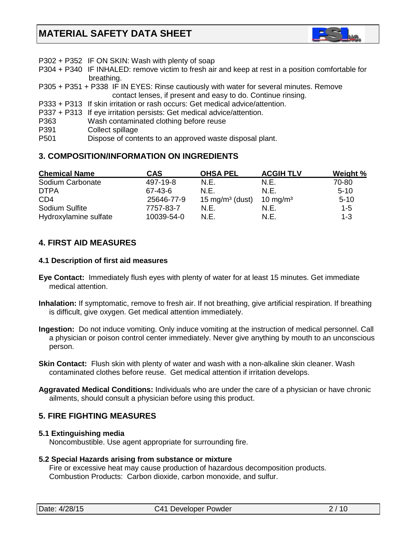

- P302 + P352 IF ON SKIN: Wash with plenty of soap
- P304 + P340 IF INHALED: remove victim to fresh air and keep at rest in a position comfortable for breathing.
- P305 + P351 + P338 IF IN EYES: Rinse cautiously with water for several minutes. Remove contact lenses, if present and easy to do. Continue rinsing.
- P333 + P313 If skin irritation or rash occurs: Get medical advice/attention.
- P337 + P313 If eye irritation persists: Get medical advice/attention.
- P363 Wash contaminated clothing before reuse
- P391 Collect spillage
- P501 Dispose of contents to an approved waste disposal plant.

## **3. COMPOSITION/INFORMATION ON INGREDIENTS**

| <b>Chemical Name</b>  | <b>CAS</b> | <b>OHSA PEL</b>            | <b>ACGIH TLV</b>     | <b>Weight %</b> |
|-----------------------|------------|----------------------------|----------------------|-----------------|
| Sodium Carbonate      | 497-19-8   | N.E.                       | N.E.                 | 70-80           |
| <b>DTPA</b>           | 67-43-6    | N.F.                       | N.E.                 | $5-10$          |
| CD <sub>4</sub>       | 25646-77-9 | $15 \text{ mg/m}^3$ (dust) | 10 mg/m <sup>3</sup> | $5 - 10$        |
| Sodium Sulfite        | 7757-83-7  | N.E.                       | N.E.                 | $1 - 5$         |
| Hydroxylamine sulfate | 10039-54-0 | N.E.                       | N.E.                 | $1 - 3$         |

## **4. FIRST AID MEASURES**

#### **4.1 Description of first aid measures**

- **Eye Contact:** Immediately flush eyes with plenty of water for at least 15 minutes. Get immediate medical attention.
- **Inhalation:** If symptomatic, remove to fresh air. If not breathing, give artificial respiration. If breathing is difficult, give oxygen. Get medical attention immediately.
- **Ingestion:** Do not induce vomiting. Only induce vomiting at the instruction of medical personnel. Call a physician or poison control center immediately. Never give anything by mouth to an unconscious person.
- **Skin Contact:** Flush skin with plenty of water and wash with a non-alkaline skin cleaner. Wash contaminated clothes before reuse. Get medical attention if irritation develops.
- **Aggravated Medical Conditions:** Individuals who are under the care of a physician or have chronic ailments, should consult a physician before using this product.

## **5. FIRE FIGHTING MEASURES**

#### **5.1 Extinguishing media**

Noncombustible. Use agent appropriate for surrounding fire.

#### **5.2 Special Hazards arising from substance or mixture**

 Fire or excessive heat may cause production of hazardous decomposition products. Combustion Products: Carbon dioxide, carbon monoxide, and sulfur.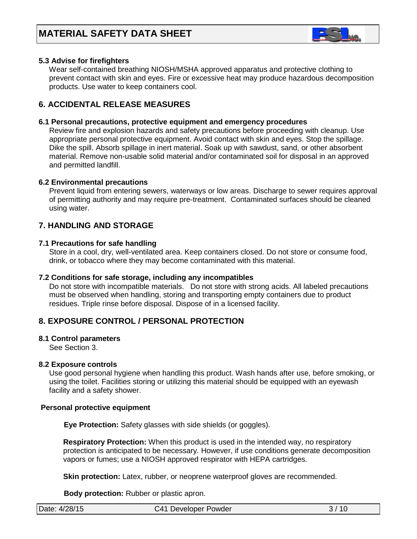

## **5.3 Advise for firefighters**

Wear self-contained breathing NIOSH/MSHA approved apparatus and protective clothing to prevent contact with skin and eyes. Fire or excessive heat may produce hazardous decomposition products. Use water to keep containers cool.

## **6. ACCIDENTAL RELEASE MEASURES**

#### **6.1 Personal precautions, protective equipment and emergency procedures**

Review fire and explosion hazards and safety precautions before proceeding with cleanup. Use appropriate personal protective equipment. Avoid contact with skin and eyes. Stop the spillage. Dike the spill. Absorb spillage in inert material. Soak up with sawdust, sand, or other absorbent material. Remove non-usable solid material and/or contaminated soil for disposal in an approved and permitted landfill.

#### **6.2 Environmental precautions**

 Prevent liquid from entering sewers, waterways or low areas. Discharge to sewer requires approval of permitting authority and may require pre-treatment. Contaminated surfaces should be cleaned using water.

## **7. HANDLING AND STORAGE**

#### **7.1 Precautions for safe handling**

 Store in a cool, dry, well-ventilated area. Keep containers closed. Do not store or consume food, drink, or tobacco where they may become contaminated with this material.

#### **7.2 Conditions for safe storage, including any incompatibles**

Do not store with incompatible materials. Do not store with strong acids. All labeled precautions must be observed when handling, storing and transporting empty containers due to product residues. Triple rinse before disposal. Dispose of in a licensed facility.

## **8. EXPOSURE CONTROL / PERSONAL PROTECTION**

#### **8.1 Control parameters**

See Section 3.

#### **8.2 Exposure controls**

Use good personal hygiene when handling this product. Wash hands after use, before smoking, or using the toilet. Facilities storing or utilizing this material should be equipped with an eyewash facility and a safety shower.

#### **Personal protective equipment**

**Eye Protection:** Safety glasses with side shields (or goggles).

**Respiratory Protection:** When this product is used in the intended way, no respiratory protection is anticipated to be necessary. However, if use conditions generate decomposition vapors or fumes; use a NIOSH approved respirator with HEPA cartridges.

**Skin protection:** Latex, rubber, or neoprene waterproof gloves are recommended.

 **Body protection:** Rubber or plastic apron.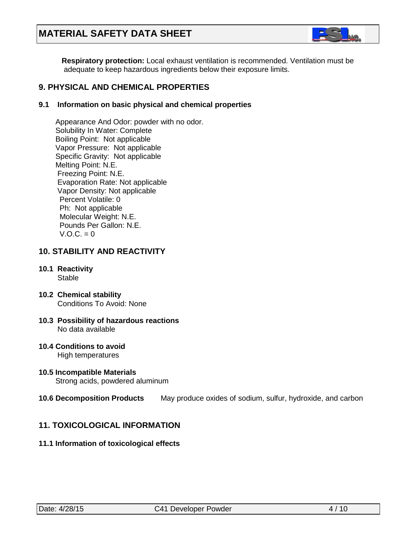## **MATERIAL SAFETY DATA SHEET**



 **Respiratory protection:** Local exhaust ventilation is recommended. Ventilation must be adequate to keep hazardous ingredients below their exposure limits.

## **9. PHYSICAL AND CHEMICAL PROPERTIES**

## **9.1 Information on basic physical and chemical properties**

Appearance And Odor: powder with no odor. Solubility In Water: Complete Boiling Point: Not applicable Vapor Pressure: Not applicable Specific Gravity: Not applicable Melting Point: N.E. Freezing Point: N.E. Evaporation Rate: Not applicable Vapor Density: Not applicable Percent Volatile: 0 Ph: Not applicable Molecular Weight: N.E. Pounds Per Gallon: N.E.  $V.A.C. = 0$ 

## **10. STABILITY AND REACTIVITY**

- **10.1 Reactivity Stable**
- **10.2 Chemical stability** Conditions To Avoid: None
- **10.3 Possibility of hazardous reactions** No data available
- **10.4 Conditions to avoid** High temperatures
- **10.5 Incompatible Materials** Strong acids, powdered aluminum

#### **10.6 Decomposition Products** May produce oxides of sodium, sulfur, hydroxide, and carbon

## **11. TOXICOLOGICAL INFORMATION**

#### **11.1 Information of toxicological effects**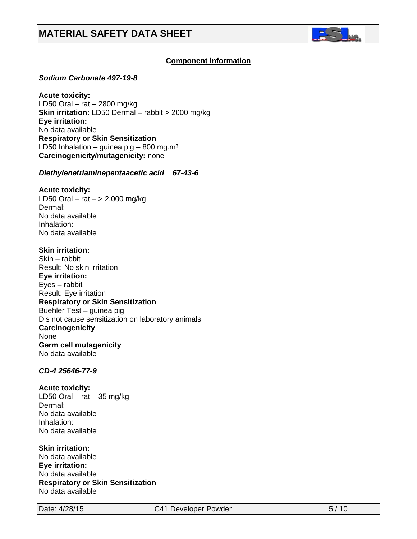

## **C***C***omponent information**

#### *Sodium Carbonate 497-19-8*

**Acute toxicity:** LD50 Oral – rat – 2800 mg/kg **Skin irritation:** LD50 Dermal – rabbit > 2000 mg/kg **Eye irritation:**  No data available **Respiratory or Skin Sensitization** LD50 Inhalation – guinea pig – 800 mg.m<sup>3</sup> **Carcinogenicity/mutagenicity:** none

#### *Diethylenetriaminepentaacetic acid 67-43-6*

#### **Acute toxicity:**

LD50 Oral – rat –  $> 2,000$  mg/kg Dermal: No data available Inhalation: No data available

#### **Skin irritation:**

Skin – rabbit Result: No skin irritation **Eye irritation:**  Eyes – rabbit Result: Eye irritation **Respiratory or Skin Sensitization** Buehler Test – guinea pig Dis not cause sensitization on laboratory animals **Carcinogenicity** None **Germ cell mutagenicity** No data available

## *CD-4 25646-77-9*

#### **Acute toxicity:**

LD50 Oral – rat – 35 mg/kg Dermal: No data available Inhalation: No data available

#### **Skin irritation:**

No data available **Eye irritation:**  No data available **Respiratory or Skin Sensitization** No data available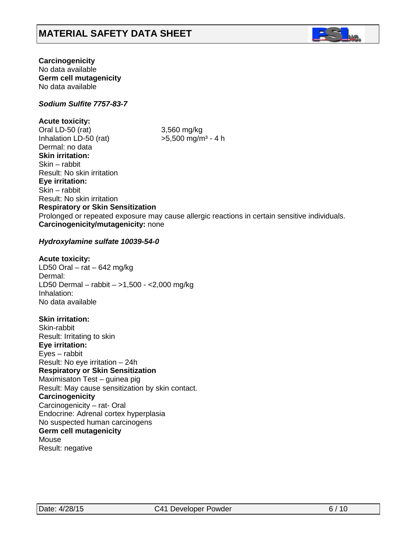

## **Carcinogenicity**

No data available **Germ cell mutagenicity** No data available

## *Sodium Sulfite 7757-83-7*

## **Acute toxicity:**

Oral LD-50 (rat) 3,560 mg/kg Inhalation LD-50 (rat)  $>5.500$  mg/m<sup>3</sup> - 4 h Dermal: no data **Skin irritation:**  Skin – rabbit Result: No skin irritation **Eye irritation:**  Skin – rabbit Result: No skin irritation **Respiratory or Skin Sensitization** Prolonged or repeated exposure may cause allergic reactions in certain sensitive individuals. **Carcinogenicity/mutagenicity:** none

#### *Hydroxylamine sulfate 10039-54-0*

#### **Acute toxicity:**

LD50 Oral –  $rat - 642$  mg/kg Dermal: LD50 Dermal – rabbit – >1,500 - <2,000 mg/kg Inhalation: No data available

## **Skin irritation:**

Skin-rabbit Result: Irritating to skin **Eye irritation:**  Eyes – rabbit Result: No eye irritation – 24h **Respiratory or Skin Sensitization** Maximisaton Test – guinea pig Result: May cause sensitization by skin contact. **Carcinogenicity** Carcinogenicity – rat- Oral Endocrine: Adrenal cortex hyperplasia No suspected human carcinogens **Germ cell mutagenicity** Mouse Result: negative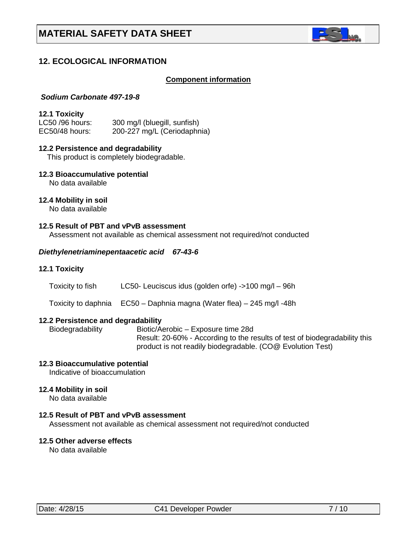

## **12. ECOLOGICAL INFORMATION**

#### **Component information**

#### *Sodium Carbonate 497-19-8*

#### **12.1 Toxicity**

| LC50 /96 hours: | 300 mg/l (bluegill, sunfish) |
|-----------------|------------------------------|
| EC50/48 hours:  | 200-227 mg/L (Ceriodaphnia)  |

#### **12.2 Persistence and degradability**

This product is completely biodegradable.

**12.3 Bioaccumulative potential**

No data available

## **12.4 Mobility in soil**

No data available

## **12.5 Result of PBT and vPvB assessment**

Assessment not available as chemical assessment not required/not conducted

#### *Diethylenetriaminepentaacetic acid 67-43-6*

#### **12.1 Toxicity**

- Toxicity to fish LC50- Leuciscus idus (golden orfe) ->100 mg/l 96h
- Toxicity to daphnia EC50 Daphnia magna (Water flea) 245 mg/l -48h

# **12.2 Persistence and degradability**

Biotic/Aerobic – Exposure time 28d Result: 20-60% - According to the results of test of biodegradability this product is not readily biodegradable. (CO@ Evolution Test)

#### **12.3 Bioaccumulative potential**

Indicative of bioaccumulation

#### **12.4 Mobility in soil**

No data available

#### **12.5 Result of PBT and vPvB assessment**

Assessment not available as chemical assessment not required/not conducted

#### **12.5 Other adverse effects**

No data available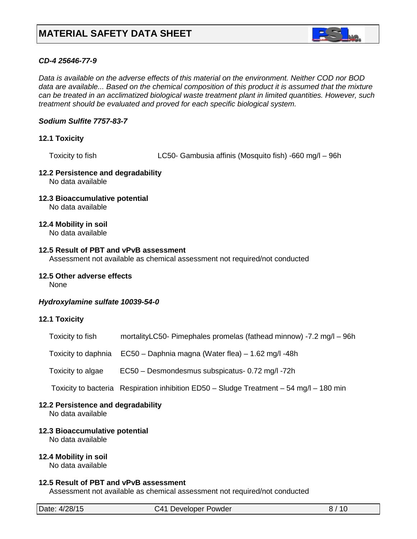

## *CD-4 25646-77-9*

*Data is available on the adverse effects of this material on the environment. Neither COD nor BOD data are available... Based on the chemical composition of this product it is assumed that the mixture can be treated in an acclimatized biological waste treatment plant in limited quantities. However, such treatment should be evaluated and proved for each specific biological system.*

## *Sodium Sulfite 7757-83-7*

## **12.1 Toxicity**

Toxicity to fish LC50- Gambusia affinis (Mosquito fish) -660 mg/l – 96h

#### **12.2 Persistence and degradability** No data available

**12.3 Bioaccumulative potential** No data available

## **12.4 Mobility in soil**

No data available

#### **12.5 Result of PBT and vPvB assessment**

Assessment not available as chemical assessment not required/not conducted

#### **12.5 Other adverse effects**

None

#### *Hydroxylamine sulfate 10039-54-0*

#### **12.1 Toxicity**

| Toxicity to fish  | mortalityLC50- Pimephales promelas (fathead minnow) -7.2 mg/l - 96h                     |
|-------------------|-----------------------------------------------------------------------------------------|
|                   | Toxicity to daphnia EC50 - Daphnia magna (Water flea) - 1.62 mg/l -48h                  |
| Toxicity to algae | EC50 - Desmondesmus subspicatus- 0.72 mg/l-72h                                          |
|                   | Toxicity to bacteria Respiration inhibition ED50 - Sludge Treatment - 54 mg/l - 180 min |
|                   |                                                                                         |

#### **12.2 Persistence and degradability**

No data available

## **12.3 Bioaccumulative potential**

No data available

## **12.4 Mobility in soil**

No data available

#### **12.5 Result of PBT and vPvB assessment**

Assessment not available as chemical assessment not required/not conducted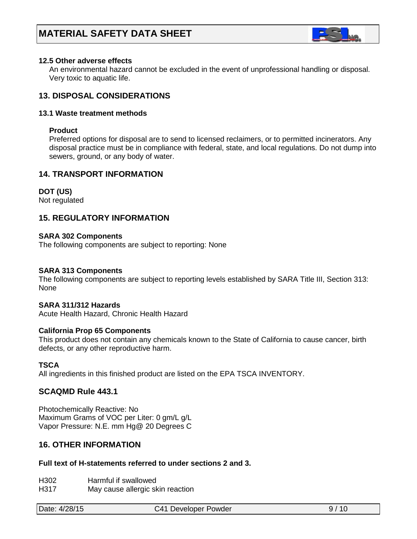

## **12.5 Other adverse effects**

 An environmental hazard cannot be excluded in the event of unprofessional handling or disposal. Very toxic to aquatic life.

## **13. DISPOSAL CONSIDERATIONS**

#### **13.1 Waste treatment methods**

#### **Product**

Preferred options for disposal are to send to licensed reclaimers, or to permitted incinerators. Any disposal practice must be in compliance with federal, state, and local regulations. Do not dump into sewers, ground, or any body of water.

## **14. TRANSPORT INFORMATION**

## **DOT (US)**

Not regulated

## **15. REGULATORY INFORMATION**

#### **SARA 302 Components**

The following components are subject to reporting: None

#### **SARA 313 Components**

The following components are subject to reporting levels established by SARA Title III, Section 313: None

#### **SARA 311/312 Hazards**

Acute Health Hazard, Chronic Health Hazard

#### **California Prop 65 Components**

This product does not contain any chemicals known to the State of California to cause cancer, birth defects, or any other reproductive harm.

#### **TSCA**

All ingredients in this finished product are listed on the EPA TSCA INVENTORY.

## **SCAQMD Rule 443.1**

Photochemically Reactive: No Maximum Grams of VOC per Liter: 0 gm/L g/L Vapor Pressure: N.E. mm Hg@ 20 Degrees C

## **16. OTHER INFORMATION**

#### **Full text of H-statements referred to under sections 2 and 3.**

H302 Harmful if swallowed

H317 May cause allergic skin reaction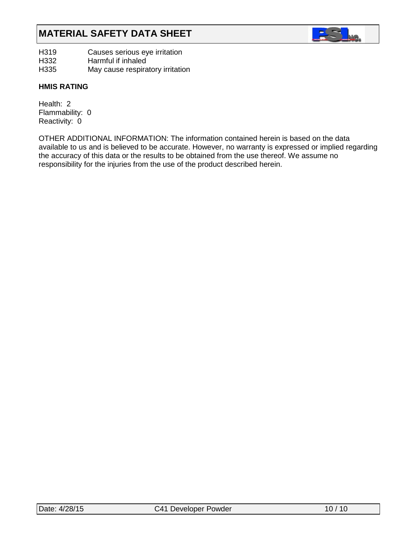# **MATERIAL SAFETY DATA SHEET**



H319 Causes serious eye irritation<br>H332 Harmful if inhaled

H<sub>332</sub> Harmful if inhaled<br>H<sub>335</sub> May cause respira

May cause respiratory irritation

## **HMIS RATING**

Health: 2 Flammability: 0 Reactivity: 0

OTHER ADDITIONAL INFORMATION: The information contained herein is based on the data available to us and is believed to be accurate. However, no warranty is expressed or implied regarding the accuracy of this data or the results to be obtained from the use thereof. We assume no responsibility for the injuries from the use of the product described herein.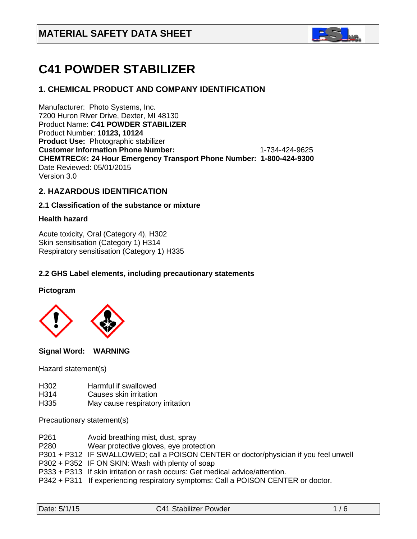

# **C41 POWDER STABILIZER**

## **1. CHEMICAL PRODUCT AND COMPANY IDENTIFICATION**

Manufacturer: Photo Systems, Inc. 7200 Huron River Drive, Dexter, MI 48130 Product Name: **C41 POWDER STABILIZER** Product Number: **10123, 10124 Product Use:** Photographic stabilizer **Customer Information Phone Number:** 1-734-424-9625 **CHEMTREC®: 24 Hour Emergency Transport Phone Number: 1-800-424-9300**  Date Reviewed: 05/01/2015 Version 3.0

## **2. HAZARDOUS IDENTIFICATION**

#### **2.1 Classification of the substance or mixture**

#### **Health hazard**

Acute toxicity, Oral (Category 4), H302 Skin sensitisation (Category 1) H314 Respiratory sensitisation (Category 1) H335

## **2.2 GHS Label elements, including precautionary statements**

#### **Pictogram**



**Signal Word: WARNING** 

Hazard statement(s)

- H302 Harmful if swallowed
- H314 Causes skin irritation
- H335 May cause respiratory irritation

Precautionary statement(s)

- P261 Avoid breathing mist, dust, spray
- P280 Wear protective gloves, eye protection
- P301 + P312 IF SWALLOWED; call a POISON CENTER or doctor/physician if you feel unwell
- P302 + P352 IF ON SKIN: Wash with plenty of soap
- P333 + P313 If skin irritation or rash occurs: Get medical advice/attention.
- P342 + P311 If experiencing respiratory symptoms: Call a POISON CENTER or doctor.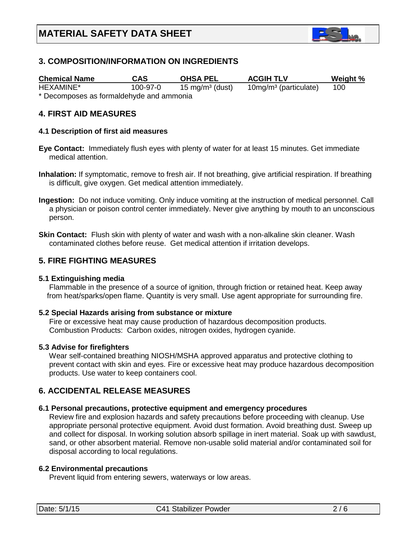

## **3. COMPOSITION/INFORMATION ON INGREDIENTS**

| <b>Chemical Name</b>                     | CAS      | <b>OHSA PEL</b>            | <b>ACGIH TLV</b>        | Weight % |  |  |  |
|------------------------------------------|----------|----------------------------|-------------------------|----------|--|--|--|
| HEXAMINE*                                | 100-97-0 | $15 \text{ mg/m}^3$ (dust) | $10mg/m3$ (particulate) | 100      |  |  |  |
| * Decomposes as formaldehyde and ammonia |          |                            |                         |          |  |  |  |

**4. FIRST AID MEASURES**

#### **4.1 Description of first aid measures**

- **Eye Contact:** Immediately flush eyes with plenty of water for at least 15 minutes. Get immediate medical attention.
- **Inhalation:** If symptomatic, remove to fresh air. If not breathing, give artificial respiration. If breathing is difficult, give oxygen. Get medical attention immediately.
- **Ingestion:** Do not induce vomiting. Only induce vomiting at the instruction of medical personnel. Call a physician or poison control center immediately. Never give anything by mouth to an unconscious person.
- **Skin Contact:** Flush skin with plenty of water and wash with a non-alkaline skin cleaner. Wash contaminated clothes before reuse. Get medical attention if irritation develops.

## **5. FIRE FIGHTING MEASURES**

#### **5.1 Extinguishing media**

 Flammable in the presence of a source of ignition, through friction or retained heat. Keep away from heat/sparks/open flame. Quantity is very small. Use agent appropriate for surrounding fire.

#### **5.2 Special Hazards arising from substance or mixture**

 Fire or excessive heat may cause production of hazardous decomposition products. Combustion Products: Carbon oxides, nitrogen oxides, hydrogen cyanide.

#### **5.3 Advise for firefighters**

Wear self-contained breathing NIOSH/MSHA approved apparatus and protective clothing to prevent contact with skin and eyes. Fire or excessive heat may produce hazardous decomposition products. Use water to keep containers cool.

## **6. ACCIDENTAL RELEASE MEASURES**

#### **6.1 Personal precautions, protective equipment and emergency procedures**

Review fire and explosion hazards and safety precautions before proceeding with cleanup. Use appropriate personal protective equipment. Avoid dust formation. Avoid breathing dust. Sweep up and collect for disposal. In working solution absorb spillage in inert material. Soak up with sawdust, sand, or other absorbent material. Remove non-usable solid material and/or contaminated soil for disposal according to local regulations.

#### **6.2 Environmental precautions**

Prevent liquid from entering sewers, waterways or low areas.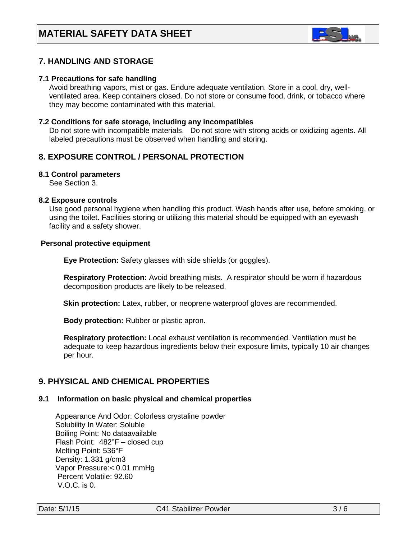

## **7. HANDLING AND STORAGE**

#### **7.1 Precautions for safe handling**

 Avoid breathing vapors, mist or gas. Endure adequate ventilation. Store in a cool, dry, well ventilated area. Keep containers closed. Do not store or consume food, drink, or tobacco where they may become contaminated with this material.

#### **7.2 Conditions for safe storage, including any incompatibles**

Do not store with incompatible materials. Do not store with strong acids or oxidizing agents. All labeled precautions must be observed when handling and storing.

## **8. EXPOSURE CONTROL / PERSONAL PROTECTION**

#### **8.1 Control parameters**

See Section 3.

#### **8.2 Exposure controls**

Use good personal hygiene when handling this product. Wash hands after use, before smoking, or using the toilet. Facilities storing or utilizing this material should be equipped with an eyewash facility and a safety shower.

#### **Personal protective equipment**

**Eye Protection:** Safety glasses with side shields (or goggles).

 **Respiratory Protection:** Avoid breathing mists. A respirator should be worn if hazardous decomposition products are likely to be released.

**Skin protection:** Latex, rubber, or neoprene waterproof gloves are recommended.

 **Body protection:** Rubber or plastic apron.

 **Respiratory protection:** Local exhaust ventilation is recommended. Ventilation must be adequate to keep hazardous ingredients below their exposure limits, typically 10 air changes per hour.

## **9. PHYSICAL AND CHEMICAL PROPERTIES**

#### **9.1 Information on basic physical and chemical properties**

Appearance And Odor: Colorless crystaline powder Solubility In Water: Soluble Boiling Point: No dataavailable Flash Point: 482°F – closed cup Melting Point: 536°F Density: 1.331 g/cm3 Vapor Pressure:< 0.01 mmHg Percent Volatile: 92.60 V.O.C. is 0.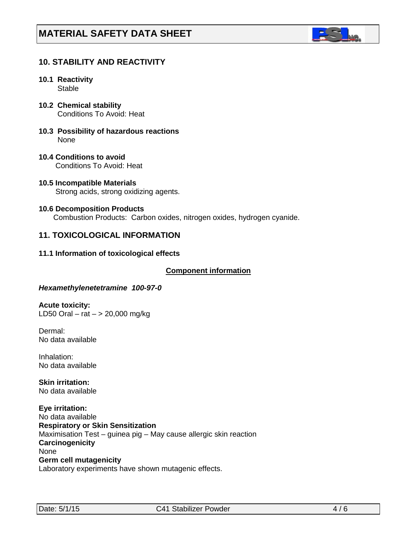

## **10. STABILITY AND REACTIVITY**

- **10.1 Reactivity Stable**
- **10.2 Chemical stability** Conditions To Avoid: Heat
- **10.3 Possibility of hazardous reactions** None
- **10.4 Conditions to avoid** Conditions To Avoid: Heat
- **10.5 Incompatible Materials** Strong acids, strong oxidizing agents.
- **10.6 Decomposition Products** Combustion Products: Carbon oxides, nitrogen oxides, hydrogen cyanide.

## **11. TOXICOLOGICAL INFORMATION**

#### **11.1 Information of toxicological effects**

#### **C***C***omponent information**

#### *Hexamethylenetetramine 100-97-0*

**Acute toxicity:** LD50 Oral – rat  $-$  > 20,000 mg/kg

Dermal: No data available

Inhalation: No data available

**Skin irritation:**  No data available

**Eye irritation:**  No data available **Respiratory or Skin Sensitization** Maximisation Test – guinea pig – May cause allergic skin reaction **Carcinogenicity** None **Germ cell mutagenicity** Laboratory experiments have shown mutagenic effects.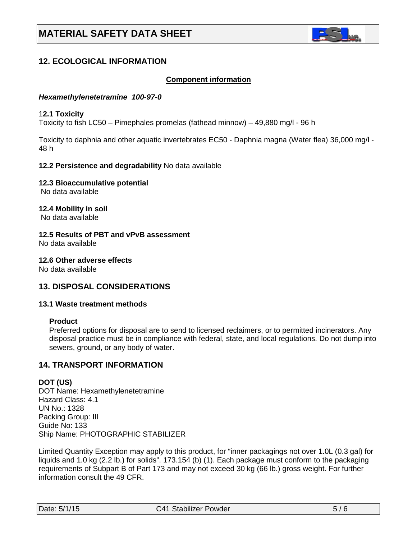

## **12. ECOLOGICAL INFORMATION**

## Co**C***C***omponent information**

#### *Hexamethylenetetramine 100-97-0*

#### 1**2.1 Toxicity**

Toxicity to fish LC50 – Pimephales promelas (fathead minnow) – 49,880 mg/l - 96 h

Toxicity to daphnia and other aquatic invertebrates EC50 - Daphnia magna (Water flea) 36,000 mg/l - 48 h

#### **12.2 Persistence and degradability** No data available

**12.3 Bioaccumulative potential**

No data available

**12.4 Mobility in soil** No data available

**12.5 Results of PBT and vPvB assessment** No data available

**12.6 Other adverse effects** No data available

## **13. DISPOSAL CONSIDERATIONS**

#### **13.1 Waste treatment methods**

#### **Product**

Preferred options for disposal are to send to licensed reclaimers, or to permitted incinerators. Any disposal practice must be in compliance with federal, state, and local regulations. Do not dump into sewers, ground, or any body of water.

## **14. TRANSPORT INFORMATION**

## **DOT (US)**

DOT Name: Hexamethylenetetramine Hazard Class: 4.1 UN No.: 1328 Packing Group: III Guide No: 133 Ship Name: PHOTOGRAPHIC STABILIZER

Limited Quantity Exception may apply to this product, for "inner packagings not over 1.0L (0.3 gal) for liquids and 1.0 kg (2.2 lb.) for solids". 173.154 (b) (1). Each package must conform to the packaging requirements of Subpart B of Part 173 and may not exceed 30 kg (66 lb.) gross weight. For further information consult the 49 CFR.